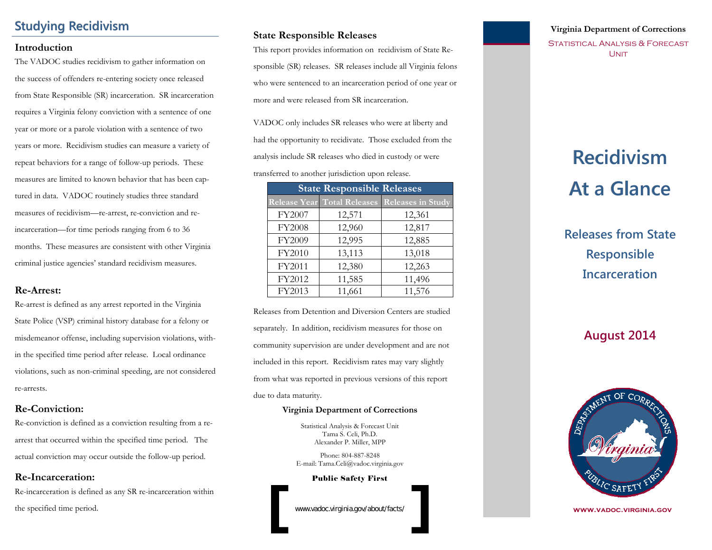# **Studying Recidivism**

#### **Introduction**

The VADOC studies recidivism to gather information on the success of offenders re-entering society once released from State Responsible (SR) incarceration. SR incarceration requires a Virginia felony conviction with a sentence of one year or more or a parole violation with a sentence of two years or more. Recidivism studies can measure a variety of repeat behaviors for a range of follow-up periods. These measures are limited to known behavior that has been captured in data. VADOC routinely studies three standard measures of recidivism—re-arrest, re-conviction and reincarceration—for time periods ranging from 6 to 36 months. These measures are consistent with other Virginia criminal justice agencies' standard recidivism measures.

#### **Re-Arrest:**

Re-arrest is defined as any arrest reported in the Virginia State Police (VSP) criminal history database for a felony or misdemeanor offense, including supervision violations, within the specified time period after release. Local ordinance violations, such as non-criminal speeding, are not considered re-arrests.

#### **Re-Conviction:**

Re-conviction is defined as a conviction resulting from a rearrest that occurred within the specified time period. The actual conviction may occur outside the follow-up period.

#### **Re-Incarceration:**

Re-incarceration is defined as any SR re-incarceration within the specified time period.

#### **State Responsible Releases**

This report provides information on recidivism of State Responsible (SR) releases. SR releases include all Virginia felons who were sentenced to an incarceration period of one year or more and were released from SR incarceration.

VADOC only includes SR releases who were at liberty and had the opportunity to recidivate. Those excluded from the analysis include SR releases who died in custody or were transferred to another jurisdiction upon release.

| <b>State Responsible Releases</b> |        |                                               |  |  |
|-----------------------------------|--------|-----------------------------------------------|--|--|
|                                   |        | Release Year Total Releases Releases in Study |  |  |
| FY2007                            | 12,571 | 12,361                                        |  |  |
| FY2008                            | 12,960 | 12,817                                        |  |  |
| FY2009                            | 12,995 | 12,885                                        |  |  |
| FY2010                            | 13,113 | 13,018                                        |  |  |
| FY2011                            | 12,380 | 12,263                                        |  |  |
| FY2012                            | 11,585 | 11,496                                        |  |  |
| FY2013                            | 11,661 | 11,576                                        |  |  |

Releases from Detention and Diversion Centers are studied separately. In addition, recidivism measures for those on community supervision are under development and are not included in this report. Recidivism rates may vary slightly from what was reported in previous versions of this report due to data maturity.

#### **Virginia Department of Corrections**

Statistical Analysis & Forecast Unit Tama S. Celi, Ph.D. Alexander P. Miller, MPP

Phone: 804-887-8248 E-mail: Tama.Celi@vadoc.virginia.gov

Public Safety First

www.vadoc.virginia.gov/about/facts/

#### **Virginia Department of Corrections**

STATISTICAL ANALYSIS & FORECAST **UNIT** 

# **Recidivism Recidivism At a Glance At a Glance**

**Releases from State Responsible Incarceration**

# **August 2014**



**www.vadoc.virginia.gov**